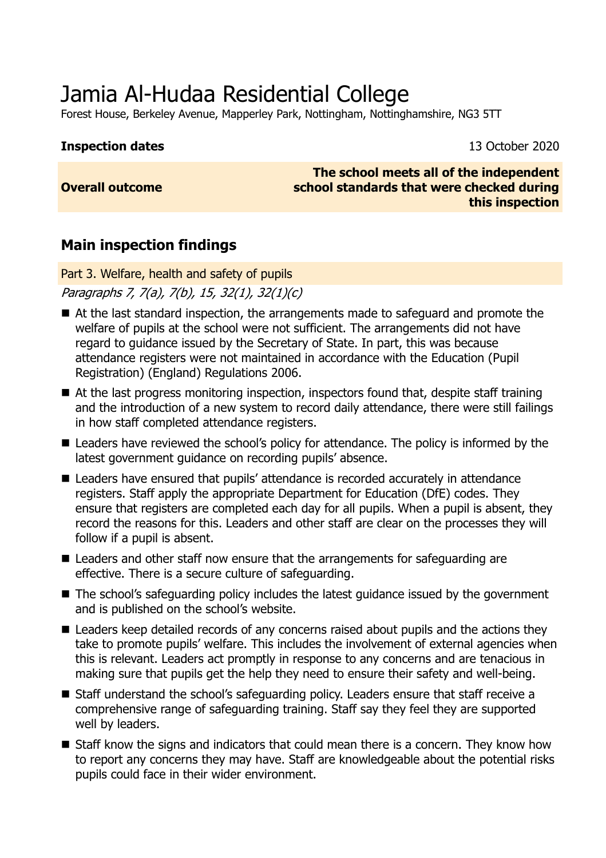# Jamia Al-Hudaa Residential College

Forest House, Berkeley Avenue, Mapperley Park, Nottingham, Nottinghamshire, NG3 5TT

#### **Inspection dates** 13 October 2020

#### **Overall outcome**

**The school meets all of the independent school standards that were checked during this inspection**

## **Main inspection findings**

Part 3. Welfare, health and safety of pupils

Paragraphs 7, 7(a), 7(b), 15, 32(1), 32(1)(c)

- At the last standard inspection, the arrangements made to safeguard and promote the welfare of pupils at the school were not sufficient. The arrangements did not have regard to guidance issued by the Secretary of State. In part, this was because attendance registers were not maintained in accordance with the Education (Pupil Registration) (England) Regulations 2006.
- At the last progress monitoring inspection, inspectors found that, despite staff training and the introduction of a new system to record daily attendance, there were still failings in how staff completed attendance registers.
- Leaders have reviewed the school's policy for attendance. The policy is informed by the latest government guidance on recording pupils' absence.
- Leaders have ensured that pupils' attendance is recorded accurately in attendance registers. Staff apply the appropriate Department for Education (DfE) codes. They ensure that registers are completed each day for all pupils. When a pupil is absent, they record the reasons for this. Leaders and other staff are clear on the processes they will follow if a pupil is absent.
- Leaders and other staff now ensure that the arrangements for safeguarding are effective. There is a secure culture of safeguarding.
- The school's safeguarding policy includes the latest guidance issued by the government and is published on the school's website.
- Leaders keep detailed records of any concerns raised about pupils and the actions they take to promote pupils' welfare. This includes the involvement of external agencies when this is relevant. Leaders act promptly in response to any concerns and are tenacious in making sure that pupils get the help they need to ensure their safety and well-being.
- Staff understand the school's safeguarding policy. Leaders ensure that staff receive a comprehensive range of safeguarding training. Staff say they feel they are supported well by leaders.
- Staff know the signs and indicators that could mean there is a concern. They know how to report any concerns they may have. Staff are knowledgeable about the potential risks pupils could face in their wider environment.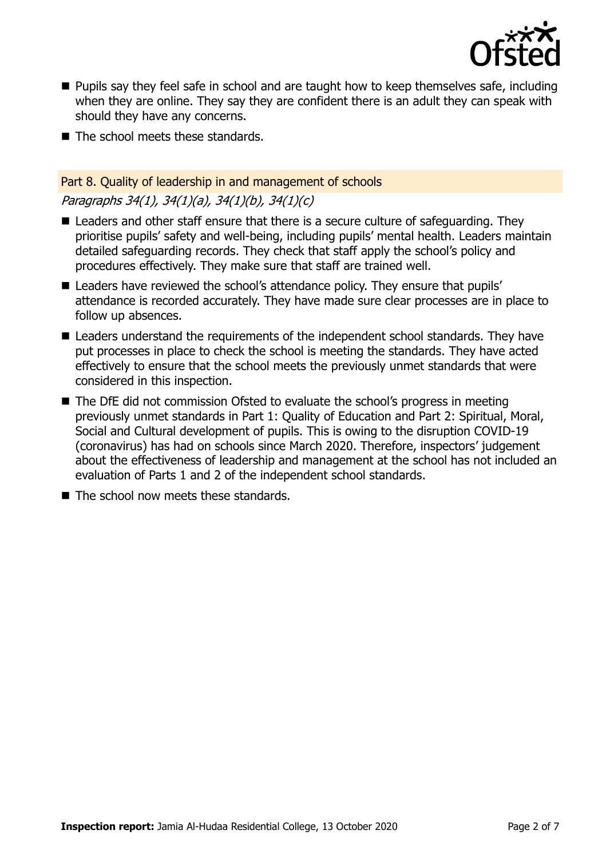

- **Pupils say they feel safe in school and are taught how to keep themselves safe, including** when they are online. They say they are confident there is an adult they can speak with should they have any concerns.
- The school meets these standards.

## Part 8. Quality of leadership in and management of schools Paragraphs 34(1), 34(1)(a), 34(1)(b), 34(1)(c)

- Leaders and other staff ensure that there is a secure culture of safeguarding. They prioritise pupils' safety and well-being, including pupils' mental health. Leaders maintain detailed safeguarding records. They check that staff apply the school's policy and procedures effectively. They make sure that staff are trained well.
- Leaders have reviewed the school's attendance policy. They ensure that pupils' attendance is recorded accurately. They have made sure clear processes are in place to follow up absences.
- Leaders understand the requirements of the independent school standards. They have put processes in place to check the school is meeting the standards. They have acted effectively to ensure that the school meets the previously unmet standards that were considered in this inspection.
- The DfE did not commission Ofsted to evaluate the school's progress in meeting previously unmet standards in Part 1: Quality of Education and Part 2: Spiritual, Moral, Social and Cultural development of pupils. This is owing to the disruption COVID-19 (coronavirus) has had on schools since March 2020. Therefore, inspectors' judgement about the effectiveness of leadership and management at the school has not included an evaluation of Parts 1 and 2 of the independent school standards.
- The school now meets these standards.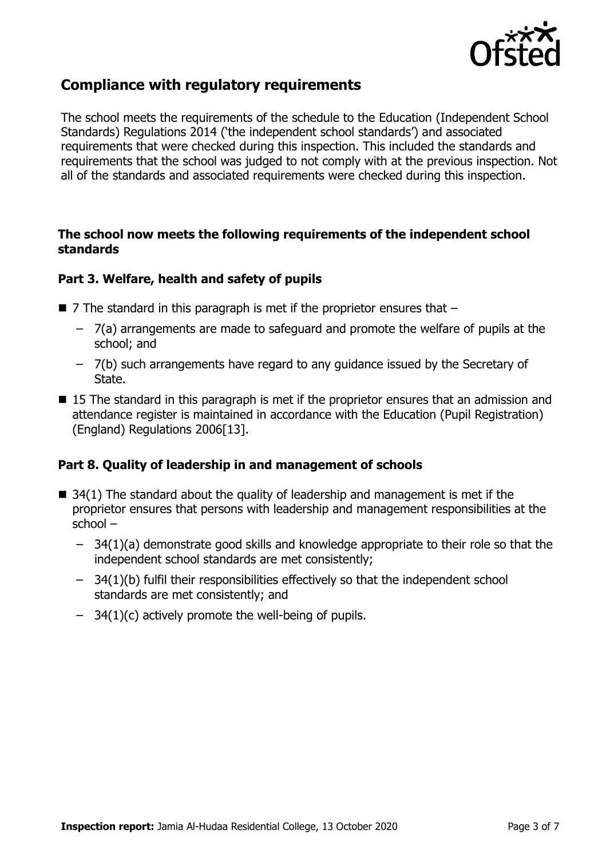

## **Compliance with regulatory requirements**

The school meets the requirements of the schedule to the Education (Independent School Standards) Regulations 2014 ('the independent school standards') and associated requirements that were checked during this inspection. This included the standards and requirements that the school was judged to not comply with at the previous inspection. Not all of the standards and associated requirements were checked during this inspection.

#### **The school now meets the following requirements of the independent school standards**

### **Part 3. Welfare, health and safety of pupils**

- $\blacksquare$  7 The standard in this paragraph is met if the proprietor ensures that  $\blacksquare$ 
	- 7(a) arrangements are made to safeguard and promote the welfare of pupils at the school; and
	- 7(b) such arrangements have regard to any guidance issued by the Secretary of State.
- 15 The standard in this paragraph is met if the proprietor ensures that an admission and attendance register is maintained in accordance with the Education (Pupil Registration) (England) Regulations 2006[13].

### **Part 8. Quality of leadership in and management of schools**

- $\blacksquare$  34(1) The standard about the quality of leadership and management is met if the proprietor ensures that persons with leadership and management responsibilities at the school –
	- 34(1)(a) demonstrate good skills and knowledge appropriate to their role so that the independent school standards are met consistently;
	- 34(1)(b) fulfil their responsibilities effectively so that the independent school standards are met consistently; and
	- $-$  34(1)(c) actively promote the well-being of pupils.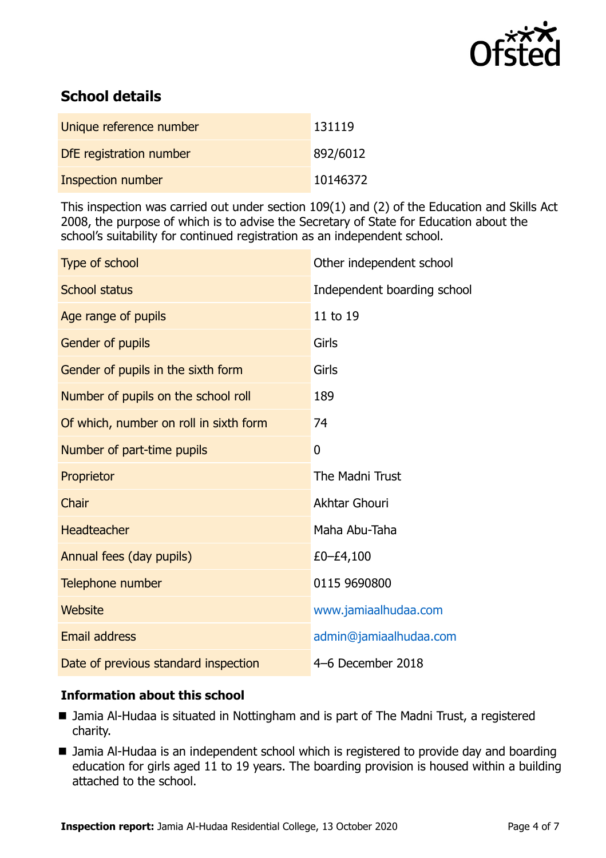

## **School details**

| Unique reference number  | 131119   |
|--------------------------|----------|
| DfE registration number  | 892/6012 |
| <b>Inspection number</b> | 10146372 |

This inspection was carried out under section 109(1) and (2) of the Education and Skills Act 2008, the purpose of which is to advise the Secretary of State for Education about the school's suitability for continued registration as an independent school.

| Type of school                         | Other independent school    |
|----------------------------------------|-----------------------------|
| <b>School status</b>                   | Independent boarding school |
| Age range of pupils                    | 11 to 19                    |
| Gender of pupils                       | Girls                       |
| Gender of pupils in the sixth form     | Girls                       |
| Number of pupils on the school roll    | 189                         |
| Of which, number on roll in sixth form | 74                          |
| Number of part-time pupils             | $\overline{0}$              |
| Proprietor                             | The Madni Trust             |
| Chair                                  | Akhtar Ghouri               |
| <b>Headteacher</b>                     | Maha Abu-Taha               |
| Annual fees (day pupils)               | £0–£4,100                   |
| Telephone number                       | 0115 9690800                |
| <b>Website</b>                         | www.jamiaalhudaa.com        |
| <b>Email address</b>                   | admin@jamiaalhudaa.com      |
| Date of previous standard inspection   | 4-6 December 2018           |

### **Information about this school**

- Jamia Al-Hudaa is situated in Nottingham and is part of The Madni Trust, a registered charity.
- Jamia Al-Hudaa is an independent school which is registered to provide day and boarding education for girls aged 11 to 19 years. The boarding provision is housed within a building attached to the school.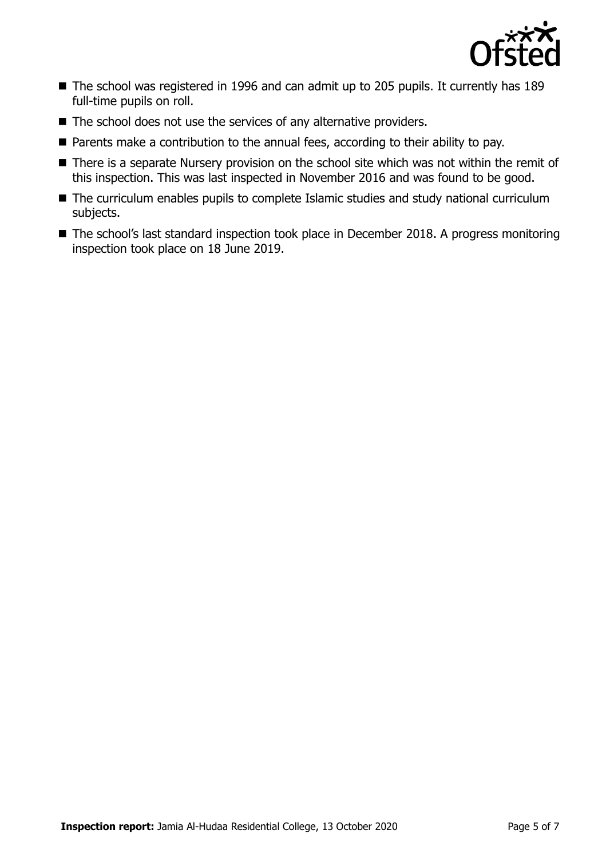

- The school was registered in 1996 and can admit up to 205 pupils. It currently has 189 full-time pupils on roll.
- The school does not use the services of any alternative providers.
- Parents make a contribution to the annual fees, according to their ability to pay.
- There is a separate Nursery provision on the school site which was not within the remit of this inspection. This was last inspected in November 2016 and was found to be good.
- The curriculum enables pupils to complete Islamic studies and study national curriculum subjects.
- The school's last standard inspection took place in December 2018. A progress monitoring inspection took place on 18 June 2019.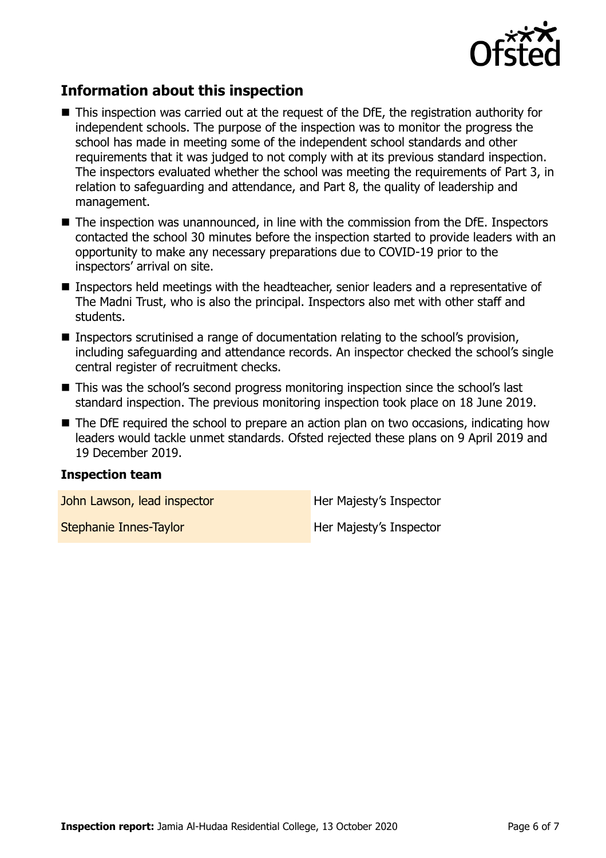

## **Information about this inspection**

- This inspection was carried out at the request of the DfE, the registration authority for independent schools. The purpose of the inspection was to monitor the progress the school has made in meeting some of the independent school standards and other requirements that it was judged to not comply with at its previous standard inspection. The inspectors evaluated whether the school was meeting the requirements of Part 3, in relation to safeguarding and attendance, and Part 8, the quality of leadership and management.
- The inspection was unannounced, in line with the commission from the DfE. Inspectors contacted the school 30 minutes before the inspection started to provide leaders with an opportunity to make any necessary preparations due to COVID-19 prior to the inspectors' arrival on site.
- Inspectors held meetings with the headteacher, senior leaders and a representative of The Madni Trust, who is also the principal. Inspectors also met with other staff and students.
- Inspectors scrutinised a range of documentation relating to the school's provision, including safeguarding and attendance records. An inspector checked the school's single central register of recruitment checks.
- This was the school's second progress monitoring inspection since the school's last standard inspection. The previous monitoring inspection took place on 18 June 2019.
- The DfE required the school to prepare an action plan on two occasions, indicating how leaders would tackle unmet standards. Ofsted rejected these plans on 9 April 2019 and 19 December 2019.

#### **Inspection team**

John Lawson, lead inspector **Her Majesty's Inspector** 

Stephanie Innes-Taylor **Her Majesty's Inspector**